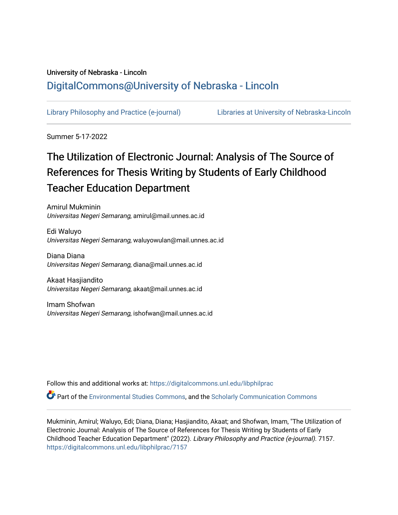# University of Nebraska - Lincoln [DigitalCommons@University of Nebraska - Lincoln](https://digitalcommons.unl.edu/)

[Library Philosophy and Practice \(e-journal\)](https://digitalcommons.unl.edu/libphilprac) [Libraries at University of Nebraska-Lincoln](https://digitalcommons.unl.edu/libraries) 

Summer 5-17-2022

# The Utilization of Electronic Journal: Analysis of The Source of References for Thesis Writing by Students of Early Childhood Teacher Education Department

Amirul Mukminin Universitas Negeri Semarang, amirul@mail.unnes.ac.id

Edi Waluyo Universitas Negeri Semarang, waluyowulan@mail.unnes.ac.id

Diana Diana Universitas Negeri Semarang, diana@mail.unnes.ac.id

Akaat Hasjiandito Universitas Negeri Semarang, akaat@mail.unnes.ac.id

Imam Shofwan Universitas Negeri Semarang, ishofwan@mail.unnes.ac.id

Follow this and additional works at: [https://digitalcommons.unl.edu/libphilprac](https://digitalcommons.unl.edu/libphilprac?utm_source=digitalcommons.unl.edu%2Flibphilprac%2F7157&utm_medium=PDF&utm_campaign=PDFCoverPages) 

Part of the [Environmental Studies Commons](https://network.bepress.com/hgg/discipline/1333?utm_source=digitalcommons.unl.edu%2Flibphilprac%2F7157&utm_medium=PDF&utm_campaign=PDFCoverPages), and the [Scholarly Communication Commons](https://network.bepress.com/hgg/discipline/1272?utm_source=digitalcommons.unl.edu%2Flibphilprac%2F7157&utm_medium=PDF&utm_campaign=PDFCoverPages) 

Mukminin, Amirul; Waluyo, Edi; Diana, Diana; Hasjiandito, Akaat; and Shofwan, Imam, "The Utilization of Electronic Journal: Analysis of The Source of References for Thesis Writing by Students of Early Childhood Teacher Education Department" (2022). Library Philosophy and Practice (e-journal). 7157. [https://digitalcommons.unl.edu/libphilprac/7157](https://digitalcommons.unl.edu/libphilprac/7157?utm_source=digitalcommons.unl.edu%2Flibphilprac%2F7157&utm_medium=PDF&utm_campaign=PDFCoverPages)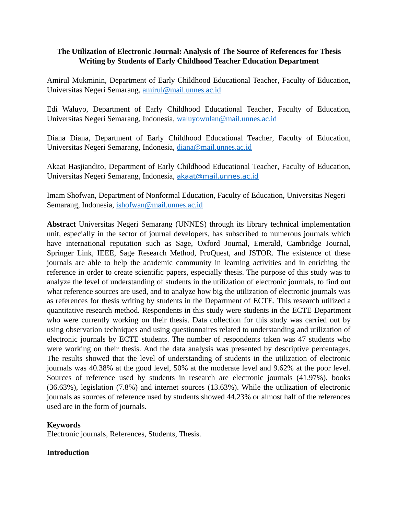# **The Utilization of Electronic Journal: Analysis of The Source of References for Thesis Writing by Students of Early Childhood Teacher Education Department**

Amirul Mukminin, Department of Early Childhood Educational Teacher, Faculty of Education, Universitas Negeri Semarang, [amirul@mail.unnes.ac.id](mailto:amirul@mail.unnes.ac.id)

Edi Waluyo, Department of Early Childhood Educational Teacher, Faculty of Education, Universitas Negeri Semarang, Indonesia, [waluyowulan@mail.unnes.ac.id](mailto:waluyowulan@mail.unnes.ac.id)

Diana Diana, Department of Early Childhood Educational Teacher, Faculty of Education, Universitas Negeri Semarang, Indonesia, [diana@mail.unnes.ac.id](mailto:diana@mail.unnes.ac.id)

Akaat Hasjiandito, Department of Early Childhood Educational Teacher, Faculty of Education, Universitas Negeri Semarang, Indonesia, [akaat@mail.unnes.ac.id](mailto:akaat@mail.unnes.ac.id)

Imam Shofwan, Department of Nonformal Education, Faculty of Education, Universitas Negeri Semarang, Indonesia, [ishofwan@mail.unnes.ac.id](mailto:ishofwan@mail.unnes.ac.id)

**Abstract** Universitas Negeri Semarang (UNNES) through its library technical implementation unit, especially in the sector of journal developers, has subscribed to numerous journals which have international reputation such as Sage, Oxford Journal, Emerald, Cambridge Journal, Springer Link, IEEE, Sage Research Method, ProQuest, and JSTOR. The existence of these journals are able to help the academic community in learning activities and in enriching the reference in order to create scientific papers, especially thesis. The purpose of this study was to analyze the level of understanding of students in the utilization of electronic journals, to find out what reference sources are used, and to analyze how big the utilization of electronic journals was as references for thesis writing by students in the Department of ECTE. This research utilized a quantitative research method. Respondents in this study were students in the ECTE Department who were currently working on their thesis. Data collection for this study was carried out by using observation techniques and using questionnaires related to understanding and utilization of electronic journals by ECTE students. The number of respondents taken was 47 students who were working on their thesis. And the data analysis was presented by descriptive percentages. The results showed that the level of understanding of students in the utilization of electronic journals was 40.38% at the good level, 50% at the moderate level and 9.62% at the poor level. Sources of reference used by students in research are electronic journals (41.97%), books (36.63%), legislation (7.8%) and internet sources (13.63%). While the utilization of electronic journals as sources of reference used by students showed 44.23% or almost half of the references used are in the form of journals.

# **Keywords**

Electronic journals, References, Students, Thesis.

# **Introduction**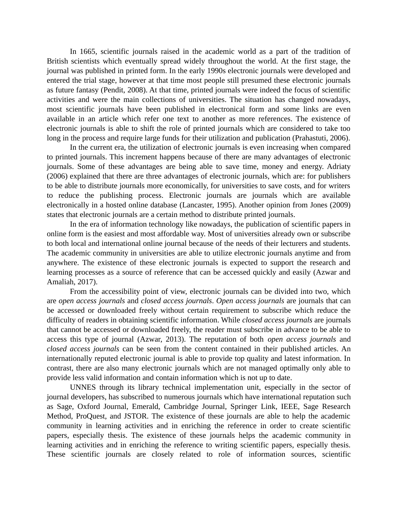In 1665, scientific journals raised in the academic world as a part of the tradition of British scientists which eventually spread widely throughout the world. At the first stage, the journal was published in printed form. In the early 1990s electronic journals were developed and entered the trial stage, however at that time most people still presumed these electronic journals as future fantasy (Pendit, 2008). At that time, printed journals were indeed the focus of scientific activities and were the main collections of universities. The situation has changed nowadays, most scientific journals have been published in electronical form and some links are even available in an article which refer one text to another as more references. The existence of electronic journals is able to shift the role of printed journals which are considered to take too long in the process and require large funds for their utilization and publication (Prahastuti, 2006).

In the current era, the utilization of electronic journals is even increasing when compared to printed journals. This increment happens because of there are many advantages of electronic journals. Some of these advantages are being able to save time, money and energy. Adriaty (2006) explained that there are three advantages of electronic journals, which are: for publishers to be able to distribute journals more economically, for universities to save costs, and for writers to reduce the publishing process. Electronic journals are journals which are available electronically in a hosted online database (Lancaster, 1995). Another opinion from Jones (2009) states that electronic journals are a certain method to distribute printed journals.

In the era of information technology like nowadays, the publication of scientific papers in online form is the easiest and most affordable way. Most of universities already own or subscribe to both local and international online journal because of the needs of their lecturers and students. The academic community in universities are able to utilize electronic journals anytime and from anywhere. The existence of these electronic journals is expected to support the research and learning processes as a source of reference that can be accessed quickly and easily (Azwar and Amaliah, 2017).

From the accessibility point of view, electronic journals can be divided into two, which are *open access journals* and *closed access journals*. *Open access journals* are journals that can be accessed or downloaded freely without certain requirement to subscribe which reduce the difficulty of readers in obtaining scientific information. While *closed access journals* are journals that cannot be accessed or downloaded freely, the reader must subscribe in advance to be able to access this type of journal (Azwar, 2013). The reputation of both *open access journals* and *closed access journals* can be seen from the content contained in their published articles. An internationally reputed electronic journal is able to provide top quality and latest information. In contrast, there are also many electronic journals which are not managed optimally only able to provide less valid information and contain information which is not up to date.

UNNES through its library technical implementation unit, especially in the sector of journal developers, has subscribed to numerous journals which have international reputation such as Sage, Oxford Journal, Emerald, Cambridge Journal, Springer Link, IEEE, Sage Research Method, ProQuest, and JSTOR. The existence of these journals are able to help the academic community in learning activities and in enriching the reference in order to create scientific papers, especially thesis. The existence of these journals helps the academic community in learning activities and in enriching the reference to writing scientific papers, especially thesis. These scientific journals are closely related to role of information sources, scientific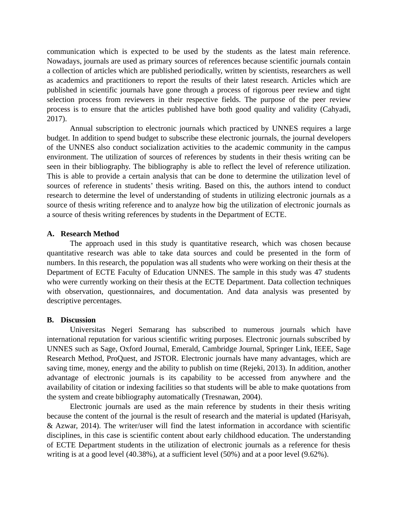communication which is expected to be used by the students as the latest main reference. Nowadays, journals are used as primary sources of references because scientific journals contain a collection of articles which are published periodically, written by scientists, researchers as well as academics and practitioners to report the results of their latest research. Articles which are published in scientific journals have gone through a process of rigorous peer review and tight selection process from reviewers in their respective fields. The purpose of the peer review process is to ensure that the articles published have both good quality and validity (Cahyadi, 2017).

Annual subscription to electronic journals which practiced by UNNES requires a large budget. In addition to spend budget to subscribe these electronic journals, the journal developers of the UNNES also conduct socialization activities to the academic community in the campus environment. The utilization of sources of references by students in their thesis writing can be seen in their bibliography. The bibliography is able to reflect the level of reference utilization. This is able to provide a certain analysis that can be done to determine the utilization level of sources of reference in students' thesis writing. Based on this, the authors intend to conduct research to determine the level of understanding of students in utilizing electronic journals as a source of thesis writing reference and to analyze how big the utilization of electronic journals as a source of thesis writing references by students in the Department of ECTE.

### **A. Research Method**

The approach used in this study is quantitative research, which was chosen because quantitative research was able to take data sources and could be presented in the form of numbers. In this research, the population was all students who were working on their thesis at the Department of ECTE Faculty of Education UNNES. The sample in this study was 47 students who were currently working on their thesis at the ECTE Department. Data collection techniques with observation, questionnaires, and documentation. And data analysis was presented by descriptive percentages.

#### **B. Discussion**

Universitas Negeri Semarang has subscribed to numerous journals which have international reputation for various scientific writing purposes. Electronic journals subscribed by UNNES such as Sage, Oxford Journal, Emerald, Cambridge Journal, Springer Link, IEEE, Sage Research Method, ProQuest, and JSTOR. Electronic journals have many advantages, which are saving time, money, energy and the ability to publish on time (Rejeki, 2013). In addition, another advantage of electronic journals is its capability to be accessed from anywhere and the availability of citation or indexing facilities so that students will be able to make quotations from the system and create bibliography automatically (Tresnawan, 2004).

Electronic journals are used as the main reference by students in their thesis writing because the content of the journal is the result of research and the material is updated (Harisyah, & Azwar, 2014). The writer/user will find the latest information in accordance with scientific disciplines, in this case is scientific content about early childhood education. The understanding of ECTE Department students in the utilization of electronic journals as a reference for thesis writing is at a good level (40.38%), at a sufficient level (50%) and at a poor level (9.62%).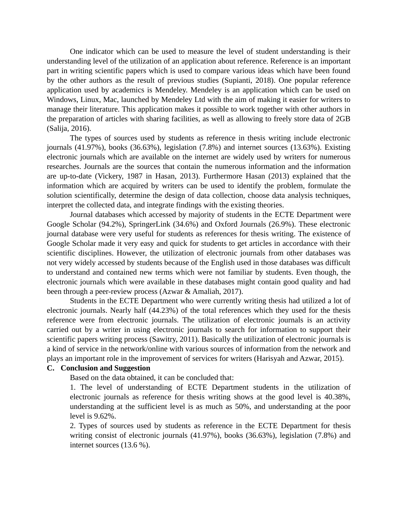One indicator which can be used to measure the level of student understanding is their understanding level of the utilization of an application about reference. Reference is an important part in writing scientific papers which is used to compare various ideas which have been found by the other authors as the result of previous studies (Supianti, 2018). One popular reference application used by academics is Mendeley. Mendeley is an application which can be used on Windows, Linux, Mac, launched by Mendeley Ltd with the aim of making it easier for writers to manage their literature. This application makes it possible to work together with other authors in the preparation of articles with sharing facilities, as well as allowing to freely store data of 2GB (Salija, 2016).

The types of sources used by students as reference in thesis writing include electronic journals (41.97%), books (36.63%), legislation (7.8%) and internet sources (13.63%). Existing electronic journals which are available on the internet are widely used by writers for numerous researches. Journals are the sources that contain the numerous information and the information are up-to-date (Vickery, 1987 in Hasan, 2013). Furthermore Hasan (2013) explained that the information which are acquired by writers can be used to identify the problem, formulate the solution scientifically, determine the design of data collection, choose data analysis techniques, interpret the collected data, and integrate findings with the existing theories.

Journal databases which accessed by majority of students in the ECTE Department were Google Scholar (94.2%), SpringerLink (34.6%) and Oxford Journals (26.9%). These electronic journal database were very useful for students as references for thesis writing. The existence of Google Scholar made it very easy and quick for students to get articles in accordance with their scientific disciplines. However, the utilization of electronic journals from other databases was not very widely accessed by students because of the English used in those databases was difficult to understand and contained new terms which were not familiar by students. Even though, the electronic journals which were available in these databases might contain good quality and had been through a peer-review process (Azwar & Amaliah, 2017).

Students in the ECTE Department who were currently writing thesis had utilized a lot of electronic journals. Nearly half (44.23%) of the total references which they used for the thesis reference were from electronic journals. The utilization of electronic journals is an activity carried out by a writer in using electronic journals to search for information to support their scientific papers writing process (Sawitry, 2011). Basically the utilization of electronic journals is a kind of service in the network/online with various sources of information from the network and plays an important role in the improvement of services for writers (Harisyah and Azwar, 2015).

#### **C. Conclusion and Suggestion**

Based on the data obtained, it can be concluded that:

1. The level of understanding of ECTE Department students in the utilization of electronic journals as reference for thesis writing shows at the good level is 40.38%, understanding at the sufficient level is as much as 50%, and understanding at the poor level is 9.62%.

2. Types of sources used by students as reference in the ECTE Department for thesis writing consist of electronic journals (41.97%), books (36.63%), legislation (7.8%) and internet sources (13.6 %).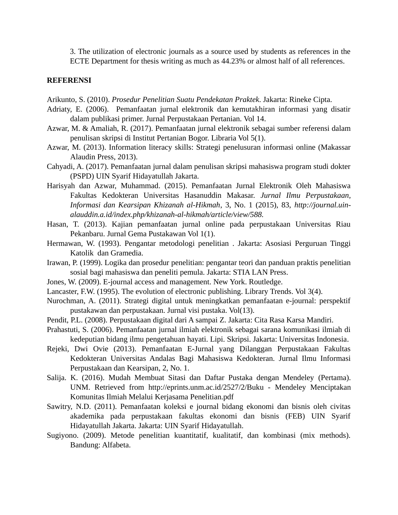3. The utilization of electronic journals as a source used by students as references in the ECTE Department for thesis writing as much as 44.23% or almost half of all references.

### **REFERENSI**

Arikunto, S. (2010). *Prosedur Penelitian Suatu Pendekatan Praktek*. Jakarta: Rineke Cipta.

- Adriaty, E. (2006). Pemanfaatan jurnal elektronik dan kemutakhiran informasi yang disatir dalam publikasi primer. Jurnal Perpustakaan Pertanian. Vol 14.
- Azwar, M. & Amaliah, R. (2017). Pemanfaatan jurnal elektronik sebagai sumber referensi dalam penulisan skripsi di Institut Pertanian Bogor. Libraria Vol 5(1).
- Azwar, M. (2013). Information literacy skills: Strategi penelusuran informasi online (Makassar Alaudin Press, 2013).
- Cahyadi, A. (2017). Pemanfaatan jurnal dalam penulisan skripsi mahasiswa program studi dokter (PSPD) UIN Syarif Hidayatullah Jakarta.
- Harisyah dan Azwar, Muhammad. (2015). Pemanfaatan Jurnal Elektronik Oleh Mahasiswa Fakultas Kedokteran Universitas Hasanuddin Makasar. *Jurnal Ilmu Perpustakaan, Informasi dan Kearsipan Khizanah al-Hikmah*, 3, No. 1 (2015), 83, *http://journal.uinalauddin.a.id/index.php/khizanah-al-hikmah/article/view/588.*
- Hasan, T. (2013). Kajian pemanfaatan jurnal online pada perpustakaan Universitas Riau Pekanbaru. Jurnal Gema Pustakawan Vol 1(1).
- Hermawan, W. (1993). Pengantar metodologi penelitian . Jakarta: Asosiasi Perguruan Tinggi Katolik dan Gramedia.
- Irawan, P. (1999). Logika dan prosedur penelitian: pengantar teori dan panduan praktis penelitian sosial bagi mahasiswa dan peneliti pemula. Jakarta: STIA LAN Press.
- Jones, W. (2009). E-journal access and management. New York. Routledge.
- Lancaster, F.W. (1995). The evolution of electronic publishing. Library Trends. Vol 3(4).
- Nurochman, A. (2011). Strategi digital untuk meningkatkan pemanfaatan e-journal: perspektif pustakawan dan perpustakaan. Jurnal visi pustaka. Vol(13).
- Pendit, P.L. (2008). Perpustakaan digital dari A sampai Z. Jakarta: Cita Rasa Karsa Mandiri.
- Prahastuti, S. (2006). Pemanfaatan jurnal ilmiah elektronik sebagai sarana komunikasi ilmiah di kedeputian bidang ilmu pengetahuan hayati. Lipi. Skripsi. Jakarta: Universitas Indonesia.
- Rejeki, Dwi Ovie (2013). Pemanfaatan E-Jurnal yang Dilanggan Perpustakaan Fakultas Kedokteran Universitas Andalas Bagi Mahasiswa Kedokteran. Jurnal Ilmu Informasi Perpustakaan dan Kearsipan, 2, No. 1.
- Salija. K. (2016). Mudah Membuat Sitasi dan Daftar Pustaka dengan Mendeley (Pertama). UNM. Retrieved from http://eprints.unm.ac.id/2527/2/Buku - Mendeley Menciptakan Komunitas Ilmiah Melalui Kerjasama Penelitian.pdf
- Sawitry, N.D. (2011). Pemanfaatan koleksi e journal bidang ekonomi dan bisnis oleh civitas akademika pada perpustakaan fakultas ekonomi dan bisnis (FEB) UIN Syarif Hidayatullah Jakarta. Jakarta: UIN Syarif Hidayatullah.
- Sugiyono. (2009). Metode penelitian kuantitatif, kualitatif, dan kombinasi (mix methods). Bandung: Alfabeta.